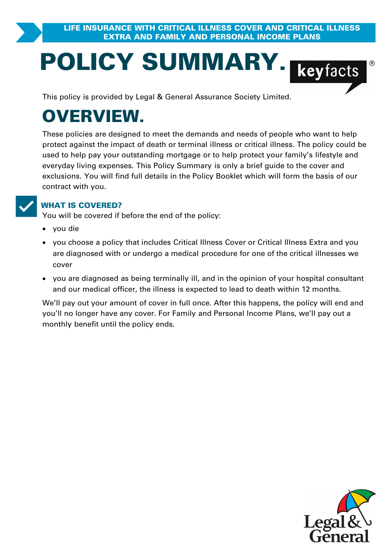# **POLICY SUMMARY.**<br>
This policy is provided by Legal & General Assurance Society Limited.

# **OVERVIEW.**

These policies are designed to meet the demands and needs of people who want to help **PRYIEW.**<br>These policies are designed to meet the demands and needs of people who want to help<br>protect against the impact of death or terminal illness or critical illness. The policy could be<br>used to help pay your outstand used to help pay your outstanding mortgage or to help protect your family's lifestyle and These policies are designed to meet the demands and needs of people who want to help<br>protect against the impact of death or terminal illness or critical illness. The policy could b<br>used to help pay your outstanding mortgag exclusions. You will find full details in the Policy Booklet which will form the basis of our contract with you.

**VORGOVERED?**<br>
You will be covered if before the end of the policy:

- · you die
- ·**IAT IS COVERED?**<br>u will be covered if before the end of the policy:<br>you choose a policy that includes Critical Illness Cover or Critical Illness Extra and you<br>are diagnosed with or undergo a medical procedure for one of t are diagnosed if before the end of the policy:<br>you die<br>you choose a policy that includes Critical Illness Cover or Critical Illness Extra and you<br>are diagnosed with or undergo a medical procedure for one of the critical il cover
- · you are diagnosed as being terminally ill, and in the opinion of your hospital consultant and our medical officer, the illness is expected to lead to death within 12 months.

We'll pay out your amount of cover in full once. After this happens, the policy will end and you'll no longer have any cover. For Family and Personal Income Plans, we'll pay out a monthly benefit until the policy ends.

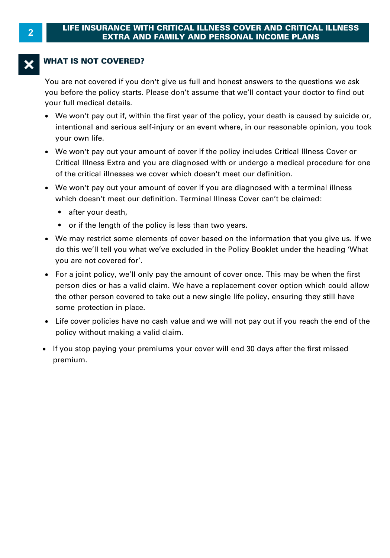#### **WHAT IS NOT COVERED?**

You are not covered if you don't give us full and honest answers to the questions we ask you before the policy starts. Please don't assume that we'll contact your doctor to find out your full medical details.

- · We won't pay out if, within the first year of the policy, your death is caused by suicide or, your own life.
- Intentional and serious self-injury or an event where, in our reasonable opinion, you took your own life.<br>We won't pay out your amount of cover if the policy includes Critical Illness Cover or<br>Critical Illness Extra and yo · We won't pay out your amount of cover if the policy includes Critical Illness Cover or of the critical illnesses we cover which doesn't meet our definition. Critical Illness Extra and you are diagnosed with or undergo a medical procedure for one
- We won't pay out your amount of cover if you are diagnosed with a terminal illness which doesn't meet our definition. Terminal Illness Cover can't be claimed:
	- after your death.
	- or if the length of the policy is less than two years.
- We may restrict some elements of cover based on the information that you give us. If we do this we'll tell you what we've excluded in the Policy Booklet under the heading 'What you are not covered for'.<br>• For a joint pol do this we'll tell you what we've excluded in the Policy Booklet under the heading 'What you are not covered for'.
- For a joint policy, we'll only pay the amount of cover once. This may be when the first person dies or has a valid claim. We have a replacement cover once. This may be when the first<br>you are not covered for'.<br>For a joint policy, we'll only pay the amount of cover once. This may be when the first<br>person dies o person dies or has a valid claim. We have a replacement cover option which could allow<br>the other person covered to take out a new single life policy, ensuring they still have some protection in place. policies of his a valid claim. We have<br>the other person covered to take out a ne<br>some protection in place.<br>• Life cover policies have no cash value ar<br>policy without making a valid claim.<br>• If you stop paying your premiums
- · Life cover policies have no cash value and we will not pay out if you reach the end of the
- If you stop paying your premiums your cover will end 30 days after the first missed premium.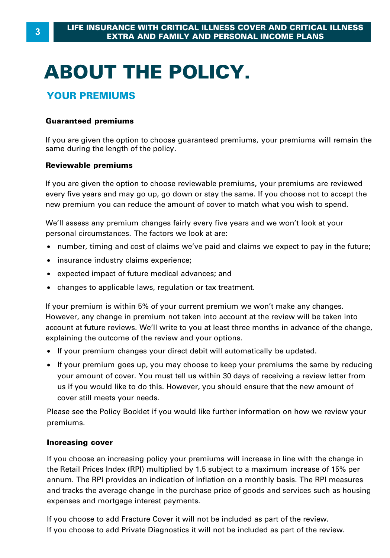# **ABOUT THE POLICY.**

#### **YOUR PREMIUMS**

#### **Guaranteed premiums**

If you are given the option to choose guaranteed premiums, your premiums will remain the same during the length of the policy.

#### **Reviewable premiums**

If you are given the option to choose reviewable premiums, your premiums are reviewed every five years and may go up, go down or stay the same. If you choose not to accept the new premium you can reduce the amount of cover to match what you wish to spend.

We'll assess any premium changes fairly every five years and we won't look at your personal circumstances. The factors we look at are:

- · number, timing and cost of claims we've paid and claims we expect to pay in the future;
- · insurance industry claims experience;
- · expected impact of future medical advances; and
- · changes to applicable laws, regulation or tax treatment.

If your premium is within 5% of your current premium we won't make any changes. However, any change in premium not taken into account at the review will be taken into account at future reviews. We'll write to you at least three months in advance of the change, explaining the outcome of the review and your options.

- · If your premium changes your direct debit will automatically be updated.
- · If your premium goes up, you may choose to keep your premiums the same by reducing Frame in the current of the review and your options.<br>If your premium changes your direct debit will automatically be updated.<br>If your premium goes up, you may choose to keep your premiums the same by reducing<br>your amount o us if you would like to do this. However, you should ensure that the new amount of cover still meets your needs.

Please see the Policy Booklet if you would like further information on how we review your premiums.

#### **Increasing cover**

If you choose an increasing policy your premiums will increase in line with the change in **Increasing cover**<br>If you choose an increasing policy your premiums will increase in line with the change in<br>the Retail Prices Index (RPI) multiplied by 1.5 subject to a maximum increase of 15% per<br>annum. The RPI provides **Increasing cover**<br>If you choose an increasing policy your premiums will increase in line with the change in<br>the Retail Prices Index (RPI) multiplied by 1.5 subject to a maximum increase of 15% per<br>annum. The RPI provides and tracks the average change in the purchase price of goods and services such as housing expenses and mortgage interest payments.

If you choose to add Fracture Cover it will not be included as part of the review. If you choose to add Private Diagnostics it will not be included as part of the review.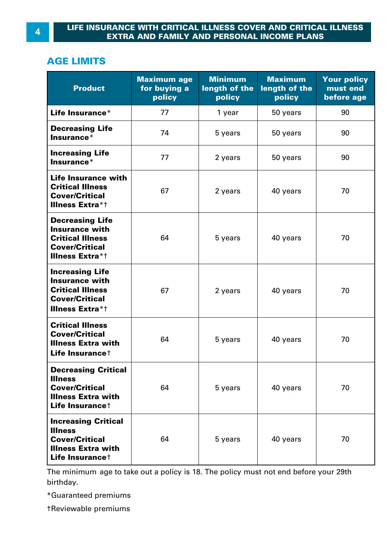#### **LIFE INSURANCE WITH CRITICAL ILLNESS COVER AND CRITICAL ILLNESS EXTRA AND FAMILY AND PERSONAL INCOME PLANS**

#### **AGE LIMITS**

| <b>Product</b>                                                                                                                    | <b>Maximum age</b><br>for buying a<br>policy | <b>Minimum</b><br>length of the<br>policy | <b>Maximum</b><br>length of the<br>policy | <b>Your policy</b><br>must end<br>before age |
|-----------------------------------------------------------------------------------------------------------------------------------|----------------------------------------------|-------------------------------------------|-------------------------------------------|----------------------------------------------|
| Life Insurance*                                                                                                                   | 77                                           | 1 year                                    | 50 years                                  | 90                                           |
| <b>Decreasing Life</b><br>Insurance*                                                                                              | 74                                           | 5 years                                   | 50 years                                  | 90                                           |
| <b>Increasing Life</b><br>Insurance*                                                                                              | 77                                           | 2 years                                   | 50 years                                  | 90                                           |
| Life Insurance with<br><b>Critical Illness</b><br><b>Cover/Critical</b><br><b>Illness Extra*t</b>                                 | 67                                           | 2 years                                   | 40 years                                  | 70                                           |
| <b>Decreasing Life</b><br><b>Insurance with</b><br><b>Critical Illness</b><br><b>Cover/Critical</b><br><b>Illness Extra*t</b>     | 64                                           | 5 years                                   | 40 years                                  | 70                                           |
| <b>Increasing Life</b><br><b>Insurance with</b><br><b>Critical Illness</b><br><b>Cover/Critical</b><br><b>Illness Extra*t</b>     | 67                                           | 2 years                                   | 40 years                                  | 70                                           |
| <b>Critical Illness</b><br><b>Cover/Critical</b><br><b>Illness Extra with</b><br>Life Insurance <sup>+</sup>                      | 64                                           | 5 years                                   | 40 years                                  | 70                                           |
| <b>Decreasing Critical</b><br><b>Illness</b><br><b>Cover/Critical</b><br><b>Illness Extra with</b><br>Life Insurance <sup>+</sup> | 64                                           | 5 years                                   | 40 years                                  | 70                                           |
| <b>Increasing Critical</b><br><b>Illness</b><br><b>Cover/Critical</b><br><b>Illness Extra with</b><br>Life Insurance <sup>+</sup> | 64                                           | 5 years                                   | 40 years                                  | 70                                           |

The minimum age to take out a policy is 18. The policy must not end before your 29th birthday.

\*Guaranteed premiums

†Reviewable premiums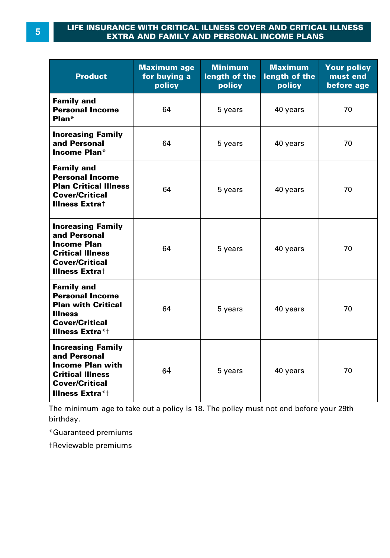#### **LIFE INSURANCE WITH CRITICAL ILLNESS COVER AND CRITICAL ILLNESS EXTRA AND FAMILY AND PERSONAL INCOME PLANS**

| <b>Product</b>                                                                                                                                    | <b>Maximum age</b><br>for buying a<br>policy | <b>Minimum</b><br>length of the<br>policy | <b>Maximum</b><br>length of the<br>policy | <b>Your policy</b><br>must end<br>before age |
|---------------------------------------------------------------------------------------------------------------------------------------------------|----------------------------------------------|-------------------------------------------|-------------------------------------------|----------------------------------------------|
| <b>Family and</b><br><b>Personal Income</b><br>$Plan*$                                                                                            | 64                                           | 5 years                                   | 40 years                                  | 70                                           |
| <b>Increasing Family</b><br>and Personal<br>Income Plan*                                                                                          | 64                                           | 5 years                                   | 40 years                                  | 70                                           |
| <b>Family and</b><br><b>Personal Income</b><br><b>Plan Critical Illness</b><br><b>Cover/Critical</b><br><b>Illness Extrat</b>                     | 64                                           | 5 years                                   | 40 years                                  | 70                                           |
| <b>Increasing Family</b><br>and Personal<br><b>Income Plan</b><br><b>Critical Illness</b><br><b>Cover/Critical</b><br><b>Illness Extrat</b>       | 64                                           | 5 years                                   | 40 years                                  | 70                                           |
| <b>Family and</b><br><b>Personal Income</b><br><b>Plan with Critical</b><br><b>Illness</b><br><b>Cover/Critical</b><br><b>Illness Extra*t</b>     | 64                                           | 5 years                                   | 40 years                                  | 70                                           |
| <b>Increasing Family</b><br>and Personal<br><b>Income Plan with</b><br><b>Critical Illness</b><br><b>Cover/Critical</b><br><b>Illness Extra*t</b> | 64                                           | 5 years                                   | 40 years                                  | 70                                           |

The minimum age to take out a policy is 18. The policy must not end before your 29th

\*Guaranteed premiums

†Reviewable premiums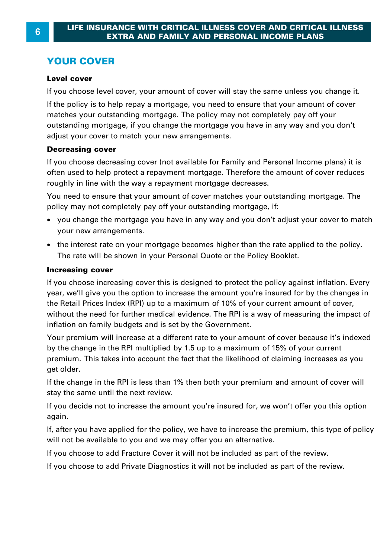#### **YOUR COVER**

#### **Level cover**

If you choose level cover, your amount of cover will stay the same unless you change it.

If the policy is to help repay a mortgage, you need to ensure that your amount of cover matches your outstanding mortgage. The policy may not completely pay off your outstanding mortgage, if you change the mortgage you have in any way and you don't adjust your cover to match your new arrangements.

#### **Decreasing cover**

If you choose decreasing cover (not available for Family and Personal Income plans) it is often used to help protect a repayment mortgage. Therefore the amount of cover reduces roughly in line with the way a repayment mortgage decreases. **Decreasing cover**<br>If you choose decreasing cover (not available for Family and Personal Income plans) it is<br>often used to help protect a repayment mortgage. Therefore the amount of cover reduces<br>roughly in line with the w

policy may not completely pay off your outstanding mortgage, if:

- · you change the mortgage you have in any way and you don't adjust your cover to match your new arrangements.
- · the interest rate on your mortgage becomes higher than the rate applied to the policy. The rate will be shown in your Personal Quote or the Policy Booklet.

#### **Increasing cover**

If you choose increasing cover this is designed to protect the policy against inflation. Every year, we'll give you the option to increase the amount you're insured for by the changes in The Retail Prices Index (RPI) up to a maximum of 10% of your current amount of cover,<br>we are well give you the option to increase the amount you're insured for by the changes in<br>the Retail Prices Index (RPI) up to a maximu **Increasing cover**<br>If you choose increasing cover this is designed to protect the policy against inflation. Every<br>year, we'll give you the option to increase the amount you're insured for by the changes in<br>the Retail Price inflation on family budgets and is set by the Government. year, we'll give you the option to increase the amount you're insured for by the changes in<br>the Retail Prices Index (RPI) up to a maximum of 10% of your current amount of cover,<br>without the need for further medical evidenc

the Retail Prices Index (RPI) up to a maximum of 10% of your current amount of cover,<br>without the need for further medical evidence. The RPI is a way of measuring the impac<br>inflation on family budgets and is set by the Gov premium. This takes into account the fact that the likelihood of claiming increases as you get older.

If the change in the RPI is less than 1% then both your premium and amount of cover will stay the same until the next review.

If you decide not to increase the amount you're insured for, we won't offer you this option again.

If, after you have applied for the policy, we have to increase the premium, this type of policy will not be available to you and we may offer you an alternative.

If you choose to add Fracture Cover it will not be included as part of the review.

If you choose to add Private Diagnostics it will not be included as part of the review.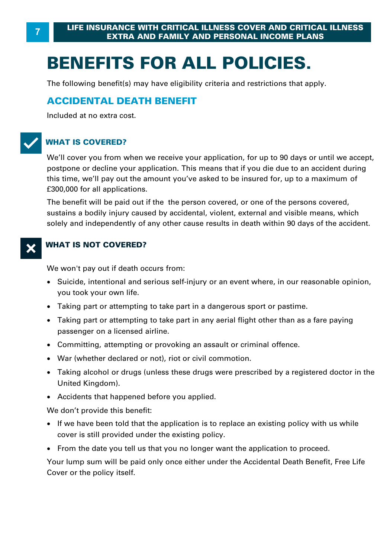# **BENEFITS FOR ALL POLICIES.**

The following benefit(s) may have eligibility criteria and restrictions that apply.

#### **ACCIDENTAL DEATH BENEFIT**

Included at no extra cost.

#### T**WHAT IS COVERED?**

We'll cover you from when we receive your application, for up to 90 days or until we accept, postpone or decline your application. This means that if you die due to an accident during WHAT IS COVERED?<br>We'll cover you from when we receive your application, for up to 90 days or until we accept,<br>postpone or decline your application. This means that if you die due to an accident during<br>this time, we'll pay £300,000 for all applications. this time, we'll pay out the amount you've asked to be insured for, up to a maximum of f300,000 for all applications.<br>The benefit will be paid out if the the person covered, or one of the persons covered, sustains a bodily

The benefit will be paid out if the the person covered, or one of the persons covered , solely and independently of any other cause results in death within 90 days of the accident.

#### **WHAT IS NOT COVERED?**

We won't pay out if death occurs from:

- · Suicide, intentional and serious self-injury or an event where, in our reasonable opinion, you took your own life. We won't pay out if death occurs from:<br>• Suicide, intentional and serious self-injury or an event where, in our reasor<br>you took your own life.<br>• Taking part or attempting to take part in a dangerous sport or pastime.<br>• Tak Suicide, intentional and serious self-injury or an event where, in our reasonable opinion,<br>you took your own life.<br>Taking part or attempting to take part in a dangerous sport or pastime.<br>Taking part or attempting to take p
- ·
- you took your own life.<br>• Taking part or attempting to take pa<br>• Taking part or attempting to take pa<br>• passenger on a licensed airline.<br>• Committine. attempting or provoking
- Committing, attempting or provoking an assault or criminal offence.
- · War (whether declared or not), riot or civil commotion.
- ·passenger on a licensed airline.<br>Committing, attempting or provoking an assault or criminal offence.<br>War (whether declared or not), riot or civil commotion.<br>Taking alcohol or drugs (unless these drugs were prescribed by a United Kingdom).
- · Accidents that happened before you applied.

We don't provide this benefit:

- · If we have been told that the application is to replace an existing policy with us while cover is still provided under the existing policy.
- · From the date you tell us that you no longer want the application to proceed.

Your lump sum will be paid only once either under the Accidental Death Benefit, Free Life Cover or the policy itself.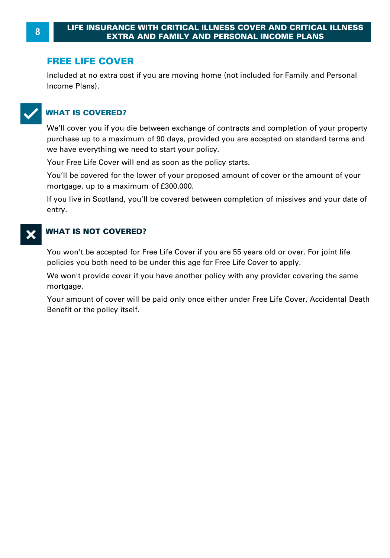#### **FREE LIFE COVER**

Included at no extra cost if you are moving home (not included for Family and Personal Income Plans) .



#### T**WHAT IS COVERED?**

We'll cover you if you die between exchange of contracts and completion of your property WHAT IS COVERED?<br>We'll cover you if you die between exchange of contracts and completion of your property<br>purchase up to a maximum of 90 days, provided you are accepted on standard terms and<br>we have everything we need to s we have everything we need to start your policy.

Your Free Life Cover will end as soon as the policy starts.

You'll be covered for the lower of your proposed amount of cover or the amount of your montase up to a maximum of 30 days, provided we have everything we need to start your police Your Free Life Cover will end as soon as the post You'll be covered for the lower of your propos mortgage, up to a maximum of f30

If you live in Scotland, you'll be covered between completion of missives and your date of entry.

#### X**WHAT IS NOT COVERED?**

You won't be accepted for Free Life Cover if you are 55 years old or over. For joint life policies you both need to be under this age for Free Life Cover to apply.

We won't provide cover if you have another policy with any provider covering the same mortgage.

You won't be accepted for Free Eite Cover if you are 33 years ond of over. For joint life<br>policies you both need to be under this age for Free Life Cover to apply.<br>We won't provide cover if you have another policy with any Benefit or the policy itself.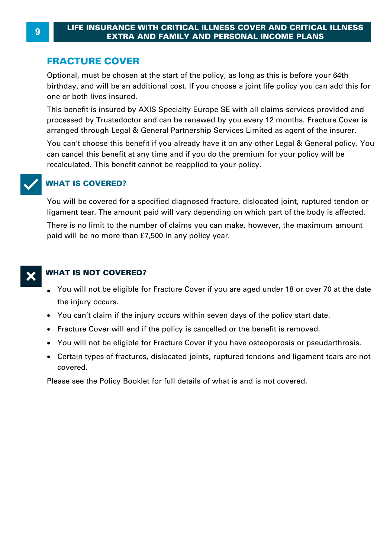#### **FRACTURE COVER**

Optional, must be chosen at the start of the policy, as long as this is before your 64th birthday, and will be an additional cost. If you choose a joint life policy you can add this for one or both lives insured.

arranged through Legal & General Partnership Services Limited as agent of the insurer.<br>You can't choose this benefit if you already have it on any other Legal & General policy. You This benefit is insured by AXIS Specialty Europe SE with all claims services provided and processed by Trustedoctor and can be renewed by you every 12 months. Fracture Cover is birthday, and will be an additional cost. If you choose a joint life policy you can add this<br>one or both lives insured.<br>This benefit is insured by AXIS Specialty Europe SE with all claims services provided an<br>processed by

can cancel this benefit at any time and if you do the premium for your policy will be recalculated. This benefit cannot be reapplied to your policy.



#### **WHAT IS COVERED?**

You will be covered for a specified diagnosed fracture, dislocated joint, ruptured tendon or ligament tear. The amount paid will vary depending on which part of the body is affected.

There is no limit to the number of claims you can make, however, the maximum amount paid will be no more than £7,500 in any policy year.



#### **WHAT IS NOT COVERED?**

- $\bullet~$  [You will not be eligible for Fracture Cover if you are](http://www.trustedoctor.com/fracture-cover/product/activate) aged under 18 or over 70 at the date the injury occurs.
- · You can't claim if the injury occurs within seven days of the policy start date.
- · Fracture Cover will end if the policy [is cancelled or the bene](http://www.trustedoctor.com)fit is removed.
- · You will not be eligible for Fracture Cover if you have osteoporosis or pseudarthrosis.
- · Certain types of fractures, dislocated joints, ruptured tendons and ligament tears are not covered.

Please see the Policy Booklet for full details of what is and is not covered.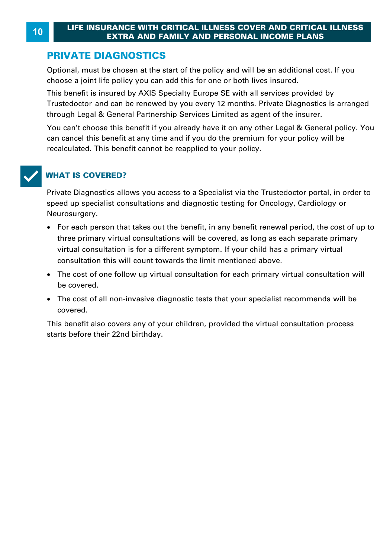#### **PRIVATE DIAGNOSTICS**

Optional, must be chosen at the start of the policy and will be an additional cost. If you **EXTRA AND FAMILY AND PERSONAL INCOME PLANE PRIVATE DIAGNOSTICS**<br>Optional, must be chosen at the start of the policy and will be an additional<br>choose a joint life policy you can add this for one or both lives insured.<br>This

choose a joint life policy you can add this for one or both lives insured.<br>This benefit is insured by AXIS Specialty Europe SE with all services provided by<br>Trustedoctor and can be renewed by you every 12 months. Private D This benefit is insured by AXIS Specialty Europe SE with all services provided by Trustedoctor and can be renewed by you every 12 months. Private Diagnostics is arranged through Legal & General Partnership Services Limited as agent of the insurer.

can cancel this benefit at any time and if you do the premium for your policy will be recalculated. This benefit cannot be reapplied to your policy.



#### T**WHAT IS COVERED?**

Private Diagnostics allows you access to a Specialist via the Trustedoctor portal, in order to speed up specialist consultations and diagnostic testing for Oncology, Cardiology or Neurosurgery.

- · For each person that takes out the benefit, in any benefit renewal period, the cost of up to three primary virtual consultations will be covered, as long as each separate primary ved up specialist consultations and diagnostic testing for Oficology, Cardiology of<br>trosurgery.<br>For each person that takes out the benefit, in any benefit renewal period, the cost of u<br>three primary virtual consultation is consultation this will count towards the limit mentioned above.
- · The cost of one follow up virtual consultation for each primary virtual consultation will be covered.
- · The cost of all non-invasive diagnostic tests that your specialist recommends will be covered.

This benefit also covers any of your children, provided the virtual consultation process starts before their 22nd birthday.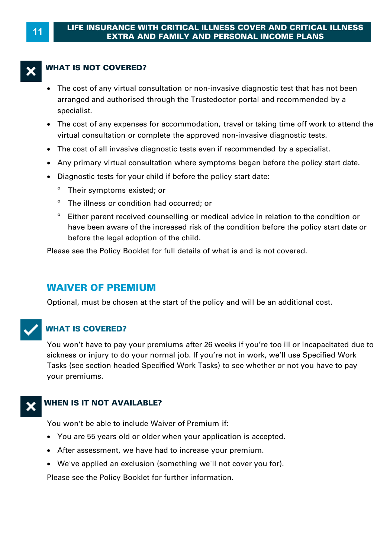#### **<sup>11</sup>LIFE INSURANCE WITH CRITICAL ILLNESS COVER AND CRITICAL ILLNESS EXTRA AND FAMILY AND PERSONAL INCOME PLANS**

#### **WHAT IS NOT COVERED?**

- · The cost of any virtual consultation or non-invasive diagnostic test that has not been arranged and authorised through the Trustedoctor portal and recommended by a specialist.
- · The cost of any expenses for accommodation, travel or taking time off work to attend the virtual consultation or complete the approved non-invasive diagnostic tests. Superialist.<br>
• The cost of any expenses for accommodation, travel or taking time off work to attivirtual consultation or complete the approved non-invasive diagnostic tests.<br>
• The cost of all invasive diagnostic tests ev
- The cost of all invasive diagnostic tests even if recommended by a specialist.
- Any primary virtual consultation where symptoms began before the policy start date.
- · Diagnostic tests for your child if before the policy start date:
	- º Their symptoms existed; or
	- º The illness or condition had occurred; or
	- º Either parent received counselling or medical advice in relation to the condition or have been aware of the increased risk of the condition before the policy start date or before the legal adoption of the child.

Please see the Policy Booklet for full details of what is and is not covered.

#### **WAIVER OF PREMIUM**

Optional, must be chosen at the start of the policy and will be an additional cost.



#### T**WHAT IS COVERED?**

You won't have to pay your premiums after 26 weeks if you're too ill or incapacitated due to sickness or injury to do your normal job. If you're not in work, we'll use Specified Work Tasks (see section headed Specified Work Tasks) to see whether or not you have to pay your premiums.

#### **WHEN IS IT NOT AVAILABLE?**

You won't be able to include Waiver of Premium if:

- · You are 55 years old or older when your application is accepted.
- · After assessment, we have had to increase your premium.
- · We've applied an exclusion (something we'll not cover you for).

Please see the Policy Booklet for further information.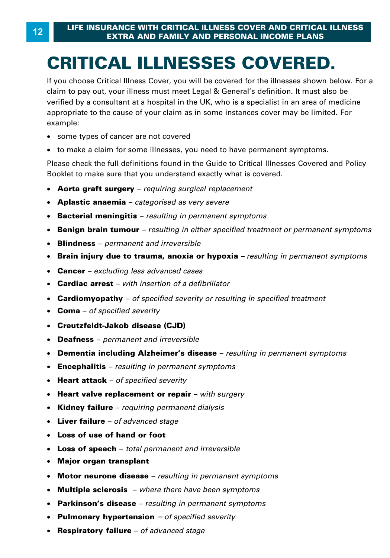# **CRITICAL ILLNESSES COVERED.**

If you choose Critical Illness Cover, you will be covered for the illnesses shown below. For a **CRITICAL ILLNESSES COVERED.**<br>If you choose Critical Illness Cover, you will be covered for the illnesses shown below. For<br>claim to pay out, your illness must meet Legal & General's definition. It must also be<br>verified by **CRITICAL ILLNESSES COVERED.**<br>If you choose Critical Illness Cover, you will be covered for the illnesses shown below. For a<br>claim to pay out, your illness must meet Legal & General's definition. It must also be<br>verified b Formal by a consultant at a hoopital in the City who is a opposition in an area of meansing<br>appropriate to the cause of your claim as in some instances cover may be limited. For<br>• some types of cancer are not covered<br>• to example:

- · some types of cancer are not covered
- to make a claim for some illnesses, you need to have permanent symptoms.

Please check the full definitions found in the Guide to Critical Illnesses Covered and Policy Booklet to make sure that you understand exactly what is covered.

- · **Aorta graft surgery**  *requiring surgical replacement*
- · **Aplastic anaemia**  *categorised as very severe*
- · **Bacterial meningitis**  *resulting in permanent symptoms*
- · **Benign brain tumour**  *resulting in either specified treatment or permanent symptoms*
- · **Blindness**  *permanent and irreversible*
- Brain injury due to trauma, anoxia or hypoxia resulting in permanent symptoms **Brain injury due to trauma, anoxia or hypoxia** *– resulting in permanent symptoms*<br>Cancer – *excluding less advanced cases*<br>Cardiac arrest – with insertion of a defibrillator<br>Cardiomyopathy – of specified severity or resu
- · **Cancer**  *excluding less advanced cases*
- Cardiac arrest with insertion of a defibrillator
- **Cardiac arrest**  *with insertion of a defibrillator* · **Cardiomyopathy**  *of specified severity or resulting in specified treatment* · **Coma**  *of specified severity*
- 
- · **Creutzfeldt-Jakob disease (CJD)**
- · **Deafness**  *permanent and irreversible*
- · **Dementia including Alzheimer's disease**  *resulting in permanent symptoms*
- · **Encephalitis**  *resulting in permanent symptoms*
- · **Heart attack**  *of specified severity*
- · **Heart valve replacement or repair**  *with surgery*
- · **Kidney failure**  *requiring permanent dialysis*
- · **Liver failure**  *of advanced stage*
- · **Loss of use of hand or foot**
- · **Loss of speech**  *total permanent and irreversible*
- · **Major organ transplant**
- · **Motor neurone disease**  *resulting in permanent symptoms*
- · **Multiple sclerosis**  *where there have been symptoms*
- · **Parkinson's disease**  *resulting in permanent symptoms*
- · **Pulmonary hypertension** *– of specified severity*
- · **Respiratory failure**  *of advanced stage*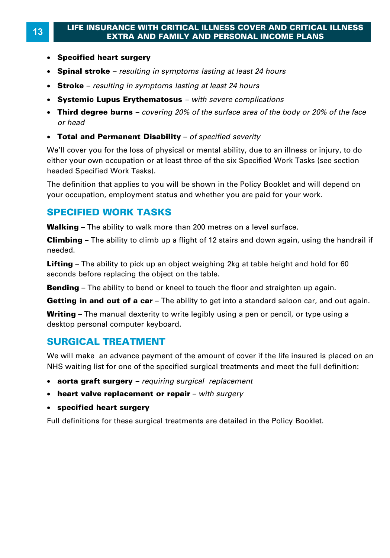#### **<sup>13</sup>LIFE INSURANCE WITH CRITICAL ILLNESS COVER AND CRITICAL ILLNESS EXTRA AND FAMILY AND PERSONAL INCOME PLANS**

- · **Specified heart surgery**
- · **Spinal stroke**  *resulting in symptoms lasting at least 24 hours*
- · **Stroke**  *resulting in symptoms lasting at least 24 hours*
- · **Systemic Lupus Erythematosus**  *with severe complications*
- · **Third degree burns**  *covering 20% of the surface area of the body or 20% of the face*
- · **Total and Permanent Disability**  *of specified severity*

We'll cover you for the loss of physical or mental ability, due to an illness or injury, to do either your own occupation or at least three of the six Specified Work Tasks (see section headed Specified Work Tasks).

The definition that applies to you will be shown in the Policy Booklet and will depend on your occupation, employment status and whether you are paid for your work. The definition that applies to you will be shown in the Policy Booklet and wi<br>your occupation, employment status and whether you are paid for your wor<br>**SPECIFIED WORK TASKS**<br>Walking – The ability to walk more than 200 metr

#### **SPECIFIED WORK TASKS**

your occupation, employment status and whether you are paid for your work.<br>**SPECIFIED WORK TASKS**<br>Walking – The ability to walk more than 200 metres on a level surface.<br>Climbing – The ability to climb up a flight of 12 sta needed. **Walking –** The ability to walk more than 200 metres on a level surface.<br>**Climbing –** The ability to climb up a flight of 12 stairs and down again, using the handrail<br>needed.<br>**Lifting –** The ability to pick up an object we

seconds before replacing the object on the table. **Lifting** – The ability to pick up an object weighing 2kg at table height and hold for 60 seconds before replacing the object on the table.<br>**Bending** – The ability to bend or kneel to touch the floor and straighten up agai **Lifting –** The ability to pick up an object weighing 2kg at table height and hold for 60 seconds before replacing the object on the table.<br>**Bending –** The ability to bend or kneel to touch the floor and straighten up agai

seconds before replacing the object on the table.<br>**Bending** – The ability to bend or kneel to touch the floor and straighten up again.<br>**Getting in and out of a car** – The ability to get into a standard saloon car, and out desktop personal computer keyboard.

#### **SURGICAL TREATMENT**

We will make an advance payment of the amount of cover if the life insured is placed on an NHS waiting list for one of the specified surgical treatments and meet the full definition:

- · **aorta graft surgery**  *requiring surgical replacement*
- · **heart valve replacement or repair**  *with surgery*
- · **specified heart surgery**

Full definitions for these surgical treatments are detailed in the Policy Booklet.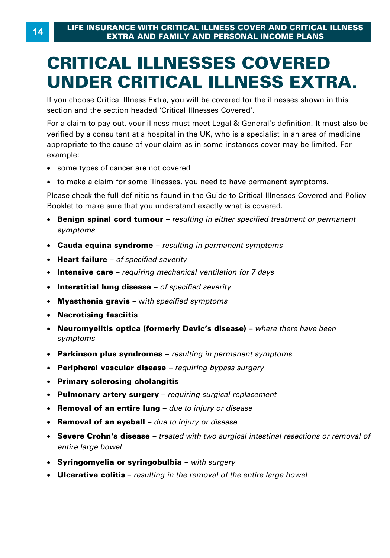# **CRITICAL ILLNESSES COVERED**

If you choose Critical Illness Extra, you will be covered for the illnesses shown in this section and the section headed 'Critical Illnesses Covered'.

**UNDER CRITICAL ILLNESS EXTRA.**<br>
If you choose Critical Illness Extra, you will be covered for the illnesses shown in this<br>
section and the section headed 'Critical Illnesses Covered'.<br>
For a claim to pay out, your illness For a claim to pay out, your illness must meet Legal & General's definition. It must also be<br>verified by a consultant at a hospital in the UK, who is a specialist in an area of medicine Formal by a consultant at a hoopital in the City who is a opposition in an area of meansing<br>appropriate to the cause of your claim as in some instances cover may be limited. For<br>• some types of cancer are not covered<br>• to example:

- · some types of cancer are not covered
- to make a claim for some illnesses, you need to have permanent symptoms.

Please check the full definitions found in the Guide to Critical Illnesses Covered and Policy Booklet to make sure that you understand exactly what is covered.

- · **Benign spinal cord tumour**  *resulting in either specified treatment or permanent symptoms*
- · **Cauda equina syndrome**  *resulting in permanent symptoms*
- · **Heart failure**  *of specified severity*
- Intensive care requiring mechanical ventilation for 7 days
- · **Interstitial lung disease**  *of specified severity*
- · **Myasthenia gravis**  w*ith specified symptoms*
- · **Necrotising fasciitis**
- **Intensive care** *requiring mechanical ventilation for 7 days*<br>Interstitial lung disease *of specified severity*<br>Myasthenia gravis w*ith specified symptoms*<br>Necrotising fasciitis<br>Neuromyelitis optica (formerly Devic' · **Neuromyelitis optica (formerly Devic's disease)** – *where there have been symptoms*
- · **Parkinson plus syndromes**  *resulting in permanent symptoms*
- · **Peripheral vascular disease**  *requiring bypass surgery*
- · **Primary sclerosing cholangitis**
- · **Pulmonary artery surgery**  *requiring surgical replacement*
- · **Removal of an entire lung**  *due to injury or disease*
- · **Removal of an eyeball**  *due to injury or disease*
- · **Severe Crohn's disease**  *treated with two surgical intestinal resections or removal of entire large bowel*
- · **Syringomyelia or syringobulbia**  *with surgery*
- · **Ulcerative colitis**  *resulting in the removal of the entire large bowel*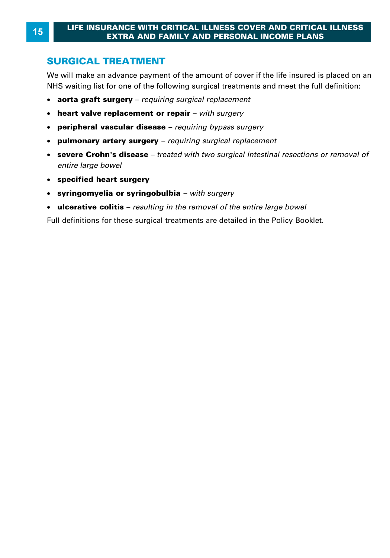#### **<sup>15</sup>LIFE INSURANCE WITH CRITICAL ILLNESS COVER AND CRITICAL ILLNESS EXTRA AND FAMILY AND PERSONAL INCOME PLANS**

#### **SURGICAL TREATMENT**

We will make an advance payment of the amount of cover if the life insured is placed on an NHS waiting list for one of the following surgical treatments and meet the full definition:

- · **aorta graft surgery**  *requiring surgical replacement*
- · **heart valve replacement or repair**  *with surgery*
- · **peripheral vascular disease**  *requiring bypass surgery*
- · **pulmonary artery surgery**  *requiring surgical replacement*
- · **severe Crohn's disease**  *treated with two surgical intestinal resections or removal of entire large bowel*
- · **specified heart surgery**
- · **syringomyelia or syringobulbia**  *with surgery*
- · **ulcerative colitis**  *resulting in the removal of the entire large bowel*

Full definitions for these surgical treatments are detailed in the Policy Booklet.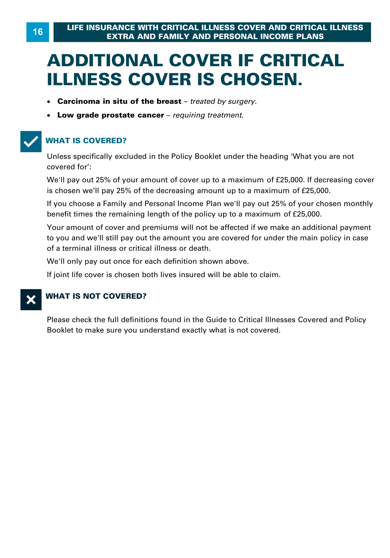## **ADDITIONAL COVER IF CRITICAL ILLNESS COVER IS CHOSEN.**

- · **Carcinoma in situ of the breast**  *treated by surgery.*
- · **Low grade prostate cancer**  *requiring treatment.*

#### T**WHAT IS COVERED?**

Unless specifically excluded in the Policy Booklet under the heading 'What you are not covered for': Unless specifically excluded in the Policy Booklet under the heading 'What you are no<br>covered for':<br>We'll pay out 25% of your amount of cover up to a maximum of £25,000. If decreasin<br>is chosen we'll pay 25% of the decreasi

We'll pay out 25% of your amount of cover up to a maximum of £25,000. If decreasing cover is chosen we'll pay 25% of the decreasing amount up to a maximum of £25,000. If you choose a Family and Personal Income Plan we'll pay out 25% of your amount of cover up to a maximum of £25,000. If decreasing cover<br>is chosen we'll pay 25% of the decreasing amount up to a maximum of £25,000.<br>If you belove for the remains of the decreasing amount up to a maximum of £25,000. If decreasing is chosen we'll pay 25% of the decreasing amount up to a maximum of £25,000.<br>If you choose a Family and Personal Income Plan we'll p

Your amount of cover and premiums will not be affected if we make an additional payment to you and we'll still pay out the amount you are covered for under the main policy in case of a terminal illness or critical illness or death .

We'll only pay out once for each definition shown above.

If joint life cover is chosen both lives insured will be able to claim.

#### **WHAT IS NOT COVERED?**

Please check the full definitions found in the Guide to Critical Illnesses Covered and Policy Booklet to make sure you understand exactly what is not covered.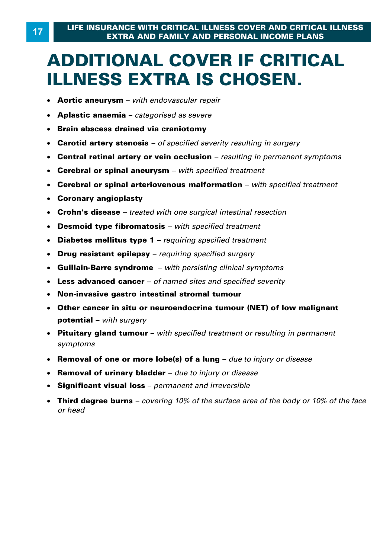### **ADDITIONAL COVER IF CRITICAL ILLNESS EXTRA IS CHOSEN.**

- · **Aortic aneurysm**  *with endovascular repair*
- · **Aplastic anaemia**  *categorised as severe*
- · **Brain abscess drained via craniotomy**
- · **Carotid artery stenosis**  *of specified severity resulting in surgery*
- · **Central retinal artery or vein occlusion**  *resulting in permanent symptoms*
- · **Cerebral or spinal aneurysm**  *with specified treatment*
- · **Cerebral or spinal arteriovenous malformation**  *with specified treatment*
- · **Coronary angioplasty**
- · **Crohn's disease**  *treated with one surgical intestinal resection*
- · **Desmoid type fibromatosis**  *with specified treatment*
- · **Diabetes mellitus type 1**  *requiring specified treatment*
- · **Drug resistant epilepsy**  *requiring specified surgery*
- · **Guillain-Barre syndrome**  *with persisting clinical symptoms*
- · **Less advanced cancer**  *of named sites and specified severity*
- · **Non-invasive gastro intestinal stromal tumour**
- · **Other cancer in situ or neuroendocrine tumour (NET) of low malignant potential** – *with surgery*
- · **Pituitary gland tumour**  *with specified treatment or resulting in permanent symptoms* **potential –** with surgery<br>**Pituitary gland tumour –** with specified treatment or resulting in permanent<br>symptoms<br>Removal of one or more lobe(s) of a lung – due to injury or disease<br>Removal of urinary bladder – due to inju
- Removal of one or more lobe(s) of a lung due to injury or disease
- · **Removal of urinary bladder**  *due to injury or disease*
- · **Significant visual loss**  *permanent and irreversible*
- · **Third degree burns**  *covering 10% of the surface area of the body or 10% of the face*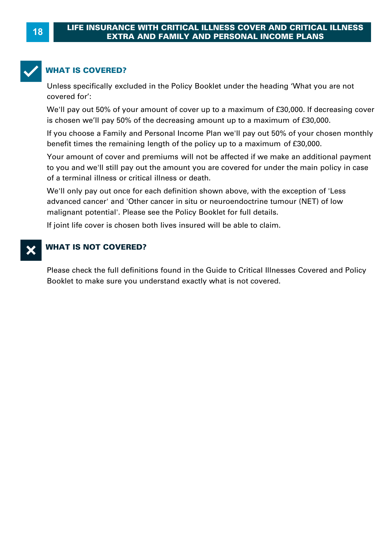

#### **WHAT IS COVERED?**

Unless specifically excluded in the Policy Booklet under the heading 'What you are not covered for': Unless specifically excluded in the Policy Booklet under the heading 'What you are no<br>covered for':<br>We'll pay out 50% of your amount of cover up to a maximum of £30,000. If decreasin<br>is chosen we'll pay 50% of the decreasi

WHAT IS COVERED?<br>Unless specifically excluded in the Policy Booklet under the heading 'What you are not<br>covered for':<br>We'll pay out 50% of your amount of cover up to a maximum of £30,000. If decreasing cover<br>is chosen we'l If you choose a Family and Personal Income Plan we'll pay out 50% of your amount of cover up to a maximum of £30,000. If decreasing cover<br>is chosen we'll pay 50% of the decreasing amount up to a maximum of £30,000.<br>If you

is chosen we'll pay 50% of the decreasing amount up to a maximum of £30,000.<br>If you choose a Family and Personal Income Plan we'll pay out 50% of your chosen monthly<br>benefit times the remaining length of the policy up to a

Your amount of cover and premiums will not be affected if we make an additional payment to you and we'll still pay out the amount you are covered for under the main policy in case of a terminal illness or critical illness or death .

We'll only pay out once for each definition shown above, with the exception of 'Less advanced cancer' and 'Other cancer in situ or neuroendoctrine tumour (NET) of low malignant potential'. Please see the Policy Booklet for full details.

If joint life cover is chosen both lives insured will be able to claim.

#### **WHAT IS NOT COVERED?**

Please check the full definitions found in the Guide to Critical Illnesses Covered and Policy Booklet to make sure you understand exactly what is not covered.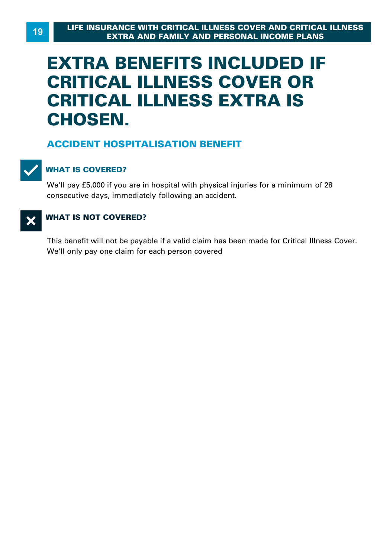## **EXTRA BENEFITS INCLUDED IF CRITICAL ILLNESS COVER OR CRITICAL ILLNESS EXTRA IS CHOSEN.**

#### **ACCIDENT HOSPITALISATION BENEFIT**



#### T**WHAT IS COVERED?**

We'll pay £5,000 if you are in hospital with physical injuries for a minimum of 28 consecutive days, immediately following an accident.

#### **X** WHAT IS NOT COVERED?

This benefit will not be payable if a valid claim has been made for Critical Illness Cover . We'll only pay one claim for each person covered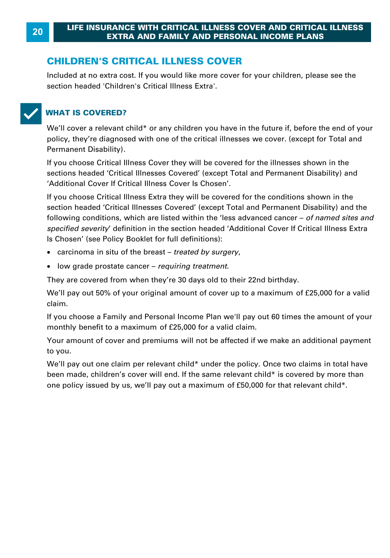#### **CHILDREN'S CRITICAL ILLNESS COVER**

Included at no extra cost. If you would like more cover for your children, please see the section headed 'Children's Critical Illness Extra'.



#### T**WHAT IS COVERED?**

We'll cover a relevant child\* or any children you have in the future if, before the end of your policy, they're diagnosed with one of the critical illnesses we cover . (except for Total and Permanent Disability) .

If you choose Critical Illness Cover they will be covered for the illnesses shown in the sections headed 'Critical Illnesses Covered' (except Total and Permanent Disability) and 'Additional Cover If Critical Illness Cover Is Chosen'.

If you choose Critical Illness Extra they will be covered for the conditions shown in the section headed 'Critical Illnesses Covered' (except Total and Permanent Disability) and the following conditions, which are listed within the 'less advanced cancer – *of named sites and*  <sup>2</sup> Additional Cover If Critical lilness Cover Is Chosen<sup>1</sup>.<br>If you choose Critical Illness Extra they will be covered for the conditions shown in the<br>section headed 'Critical Illnesses Covered' (except Total and Permanent Is Chosen' (see Policy Booklet for full definitions):

- · carcinoma in situ of the breast *treated by surgery* ,
- · low grade prostate cancer *requiring treatment* .

They are covered from when they're 30 days old to their 22nd birthday.

We'll pay out 50% of your original amount of cover up to a maximum of £25,000 for a valid claim.

They are covered from when they're 30 days old to their 22nd birthday.<br>We'll pay out 50% of your original amount of cover up to a maximum of £25,000 for a valid<br>claim.<br>If you choose a Family and Personal Income Plan we'll moy are covered nont when may to so days old to their 22nd bit<br>We'll pay out 50% of your original amount of cover up to a maxi<br>claim.<br>If you choose a Family and Personal Income Plan we'll pay out 6<br>monthly benefit to a max

Your amount of cover and premiums will not be affected if we make an additional payment to you.

We'll pay out one claim per relevant child\* under the policy. Once two claims in total have been made, children's cover will end. If the same relevant child\* is covered by more than Your amount of cover and premiums will not be affected if we make an additional pate to you.<br>We'll pay out one claim per relevant child\* under the policy. Once two claims in total<br>been made, children's cover will end. If t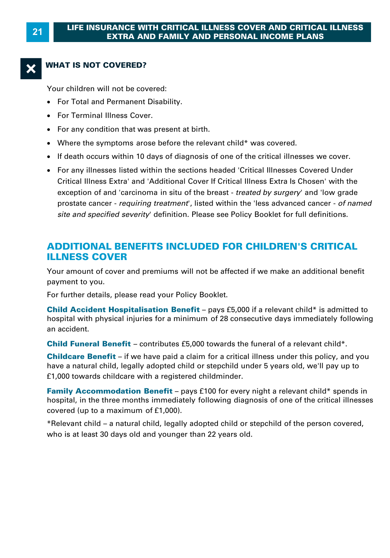#### **WHAT IS NOT COVERED?**

Your children will not be covered:

- · For Total and Permanent Disability.
- · For Terminal Illness Cover.
- · For any condition that was present at birth.
- · Where the symptoms arose before the relevant child\* was covered.
- · If death occurs within 10 days of diagnosis of one of the critical illnesses we cover.
- · For any illnesses listed within the sections headed 'Critical Illnesses Covered Under Critical Illness Extra' and 'Additional Cover If Critical Illness Extra Is Chosen' with the If death occurs within 10 days of diagnosis of one of the critical illnesses we cover.<br>For any illnesses listed within the sections headed 'Critical Illnesses Covered Under<br>Critical Illness Extra' and 'Additional Cover If prostate cancer - *requiring treatment* ', listed within the 'less advanced cancer - *of named site and specified severity* ' definition. Please see Policy Booklet for full definitions.

#### **ADDITIONAL BENEFITS INCLUDED FOR CHILDREN'S CRITICAL ILLNESS COVER**

Your amount of cover and premiums will not be affected if we make an additional benefit payment to you.

For further details, please read your Policy Booklet.

Your amount of cover and premiums will not be affected if we make an additional benefit<br>payment to you.<br>For further details, please read your Policy Booklet.<br>**Child Accident Hospitalisation Benefit** – pays £5,000 if a rele Four amount of cover and premiums will not be anceted if we make an additional benefit<br>payment to you.<br>**Child Accident Hospitalisation Benefit** – pays £5,000 if a relevant child\* is admitted to<br>hospital with physical injur an accident. **Child Accident Hospitalisation Benefit** – pays £5,000 if a relevant child\* is admitted to<br>hospital with physical injuries for a minimum of 28 consecutive days immediately followi<br>an accident.<br>**Child Funeral Benefit** – con hospital with physical injuries for a minimum of 28 consecutive days immediately following<br>an accident.<br>**Child Funeral Benefit** – contributes £5,000 towards the funeral of a relevant child\*.<br>**Childcare Benefit** – if we hav

**Child Funeral Benefit** – contributes £5,000 towards the funeral of a relevant child\*.

£1,000 towards childcare with a registered childminder. **Childcare Benefit** – if we have paid a claim for a critical illness under this policy, and you have a natural child, legally adopted child or stepchild under 5 years old, we'll pay up to £1,000 towards childcare with a re

**Family Accommodation Benefit** – pays £100 for every night a relevant child\* spends in hospital, in the three months immediately following diagnosis of one of the critical illnesse covered (up to a maximum of £1,000).<br>\*Re **Family Accommodation Benefit** – pays £100 for every night a relevant child\* spends in hospital, in the three months immediately following diagnosis of one of the critical illnesses covered (up to a maximum of £1,000).<br>\*R

who is at least 30 days old and younger than 22 years old.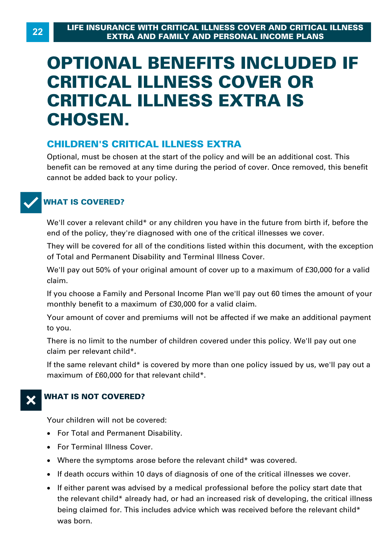## **OPTIONAL BENEFITS INCLUDED IF CRITICAL ILLNESS COVER OR CRITICAL ILLNESS EXTRA IS CHOSEN.**

#### **CHILDREN'S CRITICAL ILLNESS EXTRA**

Optional, must be chosen at the start of the policy and will be an additional cost. This benefit can be removed at any time during the period of cover. Once removed, this benefit cannot be added back to your policy.



#### **WHAT IS COVERED?**

We'll cover a relevant child\* or any children you have in the future from birth if, before the end of the policy, they're diagnosed with one of the critical illnesses we cover.

They will be covered for all of the conditions listed within this document, with the exception of Total and Permanent Disability and Terminal Illness Cover. We'll cover a relevant effind "of any effinancity ou have in the fatate from bitting, before the<br>end of the policy, they're diagnosed with one of the critical illnesses we cover.<br>They will be covered for all of the conditi

claim. We'll pay out 50% of your original amount of cover up to a maximum of £30,000 for a valid<br>claim.<br>If you choose a Family and Personal Income Plan we'll pay out 60 times the amount of your

monthly benefit to a maximum of £30,000 for a valid claim.

Your amount of cover and premiums will not be affected if we make an additional payment to you.

There is no limit to the number of children covered under this policy. We'll pay out one claim per relevant child\*.

If the same relevant child\* is covered by more than one policy issued by us, we'll pay out a maximum of £60,000 for that relevant child\*.



#### **X** WHAT IS NOT COVERED?

Your children will not be covered:

- · For Total and Permanent Disability.
- · For Terminal Illness Cover.
- · Where the symptoms arose before the relevant child\* was covered.
- · If death occurs within 10 days of diagnosis of one of the critical illnesses we cover.
- If either parent was advised by a medical professional before the policy start date that For Terminal Illness Cover.<br>Where the symptoms arose before the relevant child\* was covered.<br>If either parent was advised by a medical professional before the policy start date that<br>the relevant child\* already had, or had being claimed for. This includes advice which was received before the relevant child\* was born.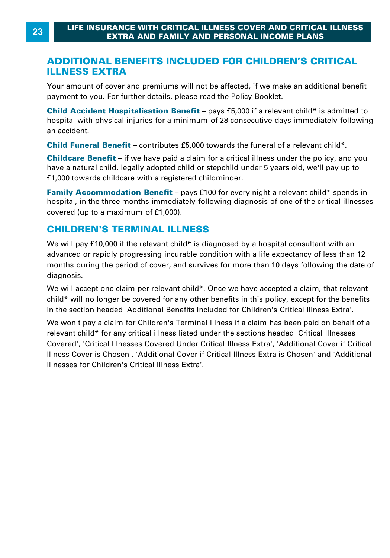#### **ADDITIONAL BENEFITS INCLUDED FOR CHILDREN'S CRITICAL ILLNESS EXTRA**

Your amount of cover and premiums will not be affected, if we make an additional benefit payment to you. For further details, please read the Policy Booklet.

**ILLNESS EXTRA**<br>Your amount of cover and premiums will not be affected, if we make an additional benefit<br>payment to you. For further details, please read the Policy Booklet.<br>Child Accident Hospitalisation Benefit – pays £5 Four amount of cover and premiums will not be affected, if we make an additional benefit<br>payment to you. For further details, please read the Policy Booklet.<br>**Child Accident Hospitalisation Benefit** – pays £5,000 if a rele an accident. **Child Accident Hospitalisation Benefit** – pays £5,000 if a relevant child\* is admitted thospital with physical injuries for a minimum of 28 consecutive days immediately followi<br>an accident.<br>**Child Funeral Benefit** – contr

hospital with physical injuries for a minimum of 28 consecutive days immediately following<br>an accident.<br>**Child Funeral Benefit** – contributes £5,000 towards the funeral of a relevant child\*.<br>**Childcare Benefit** – if we hav have a natural different and the metal child child child funeral different.<br> **Child Funeral Benefit** – contributes £5,000 towards the funeral of a relevant child\*.<br> **Childcare Benefit** – if we have paid a claim for a criti **Child Funeral Benefit** – contributes £5,000 towards the fur<br>**Childcare Benefit** – if we have paid a claim for a critical illr<br>have a natural child, legally adopted child or stepchild under<br>£1,000 towards childcare with a **Childcare Benefit** – if we have paid a claim for a critical illness under the policy, and you have a natural child, legally adopted child or stepchild under 5 years old, we'll pay up to £1,000 towards childcare with a reg

have a natural child, legally adopted child of<br>f1,000 towards childcare with a registered<br>**Family Accommodation Benefit** – pays<br>hospital, in the three months immediately to<br>covered (up to a maximum of f1,000).

#### **CHILDREN'S TERMINAL ILLNESS**

hospital, in the three months immediately following diagnosis of one of the critical illnesses<br>covered (up to a maximum of £1,000).<br>**CHILDREN'S TERMINAL ILLNESS**<br>We will pay £10,000 if the relevant child\* is diagnosed by a covered (up to a maximum of £1,000).<br> **CHILDREN'S TERMINAL ILLNESS**<br>We will pay £10,000 if the relevant child\* is diagnosed by a hospital consultant with an<br>advanced or rapidly progressing incurable condition with a life e diagnosis. We will pay £10,000 if the relevant child\* is diagnosed by a hospital consultant with an<br>advanced or rapidly progressing incurable condition with a life expectancy of less than 12<br>months during the period of cover, and sur

child\* will no longer be covered for any other benefits in this policy, except for the benefits in the section headed 'Additional Benefits Included for Children's Critical Illness Extra'. We will accept one claim per relevant child\*. Once we have accepted a claim, that relevant child\* will no longer be covered for any other benefits in this policy, except for the benefits in the section headed 'Additional B

relevant child\* for any critical illness listed under the sections headed 'Critical Illnesses Covered', 'Critical Illnesses Covered Under Critical Illness Extra', 'Additional Cover if Critical Illness Cover is Chosen', 'Additional Cover if Critical Illness Extra is Chosen' and 'Additional Illnesses for Children's Critical Illness Extra'.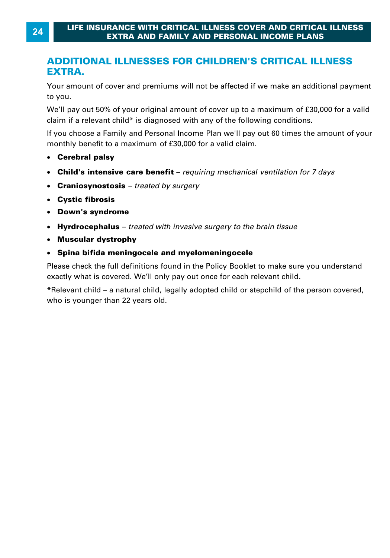#### **ADDITIONAL ILLNESSES FOR CHILDREN'S CRITICAL ILLNESS EXTRA.**

Your amount of cover and premiums will not be affected if we make an additional payment to you.

EXTRA.<br>Your amount of cover and premiums will not be affected if we make an additional payment<br>to you.<br>We'll pay out 50% of your original amount of cover up to a maximum of £30,000 for a valid<br>claim if a relevant child\* is Cour amount of cover and premiums will not be affected if we make an additior<br>to you.<br>We'll pay out 50% of your original amount of cover up to a maximum of £30,000<br>claim if a relevant child\* is diagnosed with any of the fo If you choose a Family and Personal Income Plan we'll pay out 60 times the amount of given we'll pay out 50% of your original amount of cover up to a maximum of £30,000 for a valid claim if a relevant child\* is diagnosed w We'll pay out 50% of your original amount of cover up to a relevant child\* is diagnosed with any of the follow<br>If you choose a Family and Personal Income Plan we'll pay (monthly benefit to a maximum of £30,000 for a valid

- **Cerebral palsy**
- Child's intensive care benefit requiring mechanical ventilation for 7 days
- · **Craniosynostosis**  *treated by surgery*
- · **Cystic fibrosis**
- · **Down's syndrome**
- **Child's intensive care benefit** *requiring mechanical ventilation for 7 days*<br>Craniosynostosis *treated by surgery*<br>Cystic fibrosis<br>Down's syndrome<br>Hyrdrocephalus *treated with invasive surgery to the brain tissue*<br> · **Hyrdrocephalus** – *treated with invasive surgery to the brain tissue*
- · **Muscular dystrophy**
- · **Spina bifida meningocele and myelomeningocele**

Please check the full definitions found in the Policy Booklet to make sure you understand exactly what is covered. We'll only pay out once for each relevant child .

\*Relevant child – a natural child, legally adopted child or stepchild of the person covered, who is younger than 22 years old.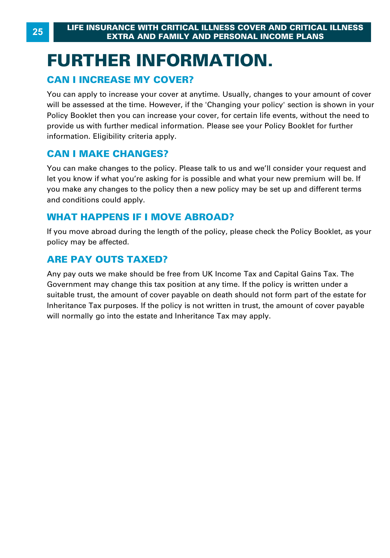# **FURTHER INFORMATION. CAN I INCREASE MY COVER?**<br>
FURTHER INFORMA<br>
FURTHER INFORMA<br> **CAN I INCREASE MY COVER?**<br>
You can apply to increase your cover at anytime.

You can apply to increase your cover at anytime. Usually, changes to your amount of cover will be assessed at the time. However, if the 'Changing your policy' section is shown in your Policy Booklet then you can increase your cover, for certain life events, without the need to provide us with further medical information. Please see your Policy Booklet for further information. Eligibility criteria apply. For surfapping to minitate year server at all<br>will be assessed at the time. However, if t<br>Policy Booklet then you can increase your<br>provide us with further medical information<br>information. Eligibility criteria apply.<br>**CAN** 

You can make changes to the policy. Please talk to us and we'll consider your request and let you know if what you're asking for is possible and what your new premium will be. If **CAN I MAKE CHANGES?**<br>You can make changes to the policy. Please talk to us and we'll consider your request and<br>let you know if what you're asking for is possible and what your new premium will be. If<br>you make any changes and conditions could apply. You can make changes to the policy. Please talk to us and w<br>let you know if what you're asking for is possible and what y<br>you make any changes to the policy then a new policy may<br>and conditions could apply.<br>**WHAT HAPPENS I** 

If you move abroad during the length of the policy, please check the Policy Booklet, as your policy may be affected.

#### **ARE PAY OUTS TAXED?**

Any pay outs we make should be free from UK Income Tax and Capital Gains Tax. The Government may change this tax position at any time. If the policy is written under a suitable trust, the amount of cover payable on death should not form part of the estate for Inheritance Tax purposes. If the policy is not written in trust, the amount of cover payable will normally go into the estate and Inheritance Tax may apply.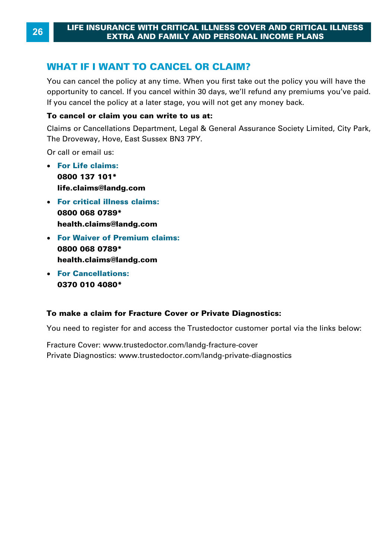#### **WHAT IF I WANT TO CANCEL OR CLAIM?**

You can cancel the policy at any time. When you first take out the policy you will have the opportunity to cancel. If you cancel within 30 days, we'll refund any premiums you've paid. **WHAT IF I WANT TO CANCEL OR CLAIM?**<br>You can cancel the policy at any time. When you first take out the policy you opportunity to cancel. If you cancel within 30 days, we'll refund any premium<br>If you cancel the policy at a

#### **To cancel or claim you can write to us at:**

If you cancel the policy at a later stage, you will not get any money back.<br>**To cancel or claim you can write to us at:**<br>Claims or Cancellations Department, Legal & General Assurance Society Limited, City Park, The Droveway, Hove, East Sussex BN3 7PY.

Or call or email us:

- · **For Life claims: 0800 137 101\* life.claims@landg.com**
- · **For critical illness claims: 0800 068 0789\* health.claims@landg.com**
- · **For Waiver of Premium claims: 0800 068 0789\* health.claims@landg.com**
- · **For Cancellations: 0370 010 4080 \***

#### **[To make a claim for F](http://www.trustedoctor.com)racture Cover or Private Diagnostics:**

You need to register for and access the Trustedoctor customer portal via the links below:

Fracture Cover: www.trustedoctor.com/landg-fracture-cover Private Diagnostics: www.trustedoctor.com/landg-private-diagnostics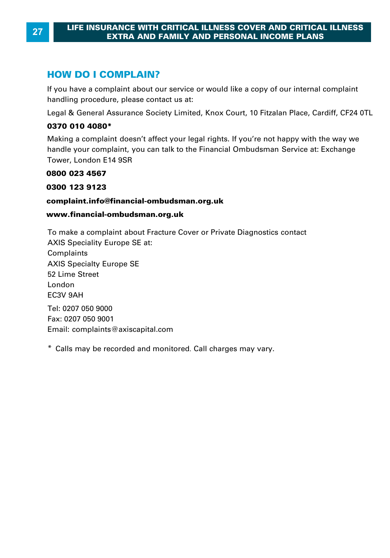**HOW DO I COMPLAIN?**<br>If you have a complaint about our service or would like a copy of our internal complaint handling procedure, please contact us at: **HOW DO I COMPLAIN?**<br>If you have a complaint about our service or would like a copy of our internal complaint<br>handling procedure, please contact us at:<br>Legal & General Assurance Society Limited, Knox Court, 10 Fitzalan Pla

#### **0370 010 4080 \***

handling procedure, please contact us at:<br>Legal & General Assurance Society Limited, Knox Court, 10 Fitzalan Place, Cardiff, CF24 0TL<br>**0370 010 4080\***<br>Making [a complaint doesn't affect your leg](mailto:complaints@axiscapital.com)al rights. If you're not happ handle your complaint, you can talk to the Financial Ombudsman Service at: Exchange Tower, London E14 9SR

#### **0800 023 4567**

#### **0300 123 9123**

#### **complaint.info@financial-ombudsman.org.uk**

#### **www.financial-ombudsman.org.uk**

To make a complaint about Fracture Cover or Private Diagnostics contact AXIS Speciality Europe SE at: Complaints AXIS Specialty Europe SE 52 Lime Street London EC3V 9AH Tel: 0207 050 9000 Fax: 0207 050 9001 Email: complaints@axiscapital.com<br>\* Calls may be recorded and monitored. Call charges may vary.